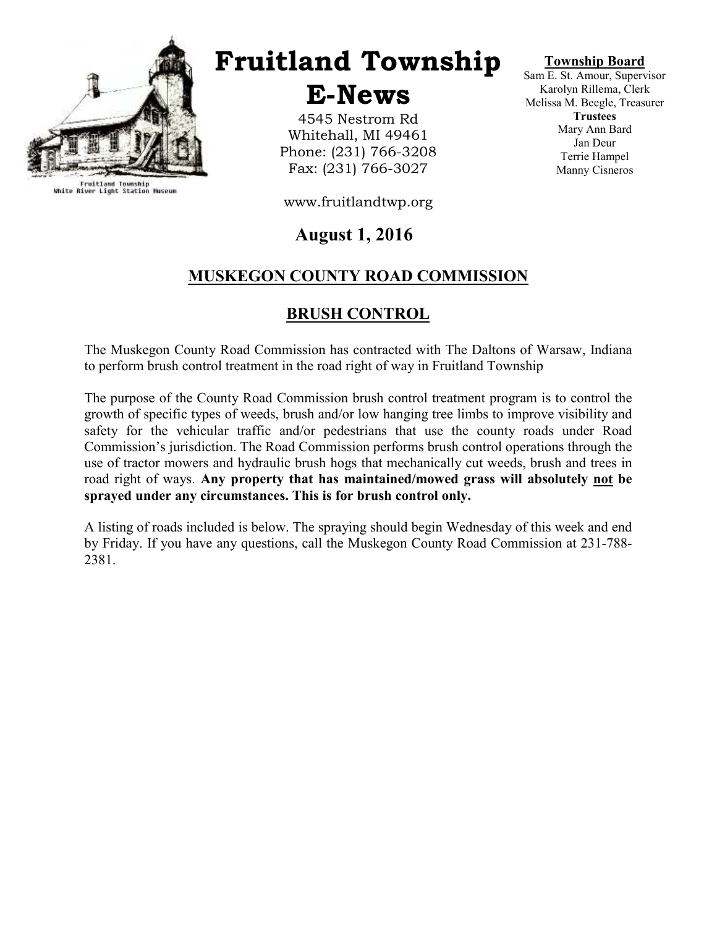

Fruitland Township<br>White River Light Station Museum

# Fruitland Township

E-News

4545 Nestrom Rd Whitehall, MI 49461 Phone: (231) 766-3208 Fax: (231) 766-3027

Township Board

Sam E. St. Amour, Supervisor Karolyn Rillema, Clerk Melissa M. Beegle, Treasurer **Trustees** Mary Ann Bard Jan Deur Terrie Hampel Manny Cisneros

www.fruitlandtwp.org

### August 1, 2016

### MUSKEGON COUNTY ROAD COMMISSION

### BRUSH CONTROL

The Muskegon County Road Commission has contracted with The Daltons of Warsaw, Indiana to perform brush control treatment in the road right of way in Fruitland Township

The purpose of the County Road Commission brush control treatment program is to control the growth of specific types of weeds, brush and/or low hanging tree limbs to improve visibility and safety for the vehicular traffic and/or pedestrians that use the county roads under Road Commission's jurisdiction. The Road Commission performs brush control operations through the use of tractor mowers and hydraulic brush hogs that mechanically cut weeds, brush and trees in road right of ways. Any property that has maintained/mowed grass will absolutely not be sprayed under any circumstances. This is for brush control only.

A listing of roads included is below. The spraying should begin Wednesday of this week and end by Friday. If you have any questions, call the Muskegon County Road Commission at 231-788- 2381.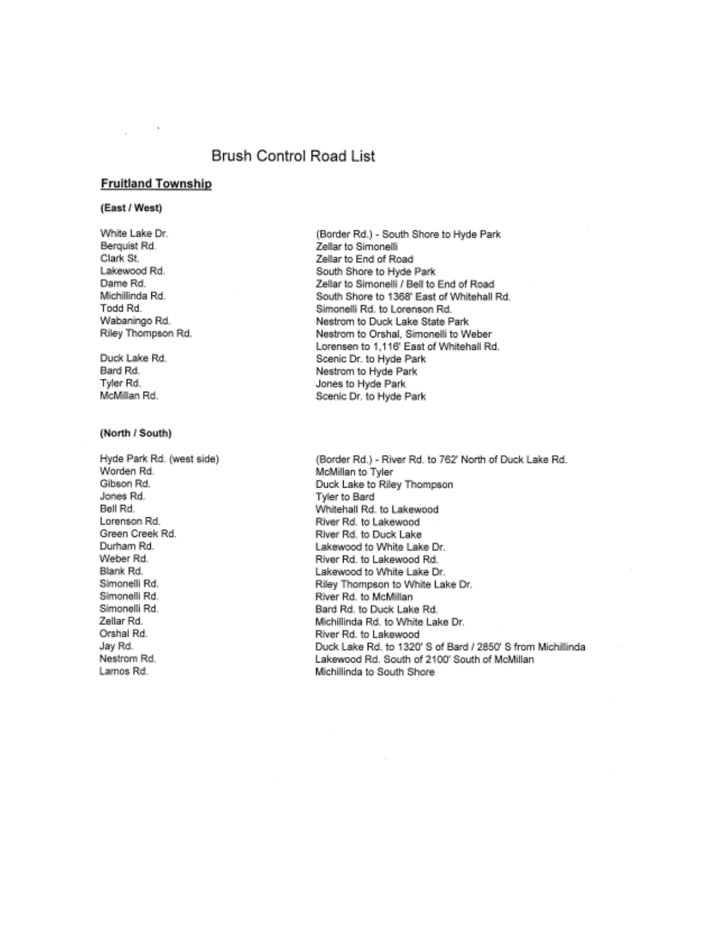### Brush Control Road List

#### **Fruitland Township**

#### (East / West)

White Lake Dr. Berguist Rd. Clark St. Lakewood Rd. Dame Rd. Michillinda Rd. Todd Rd. Wabaningo Rd. Riley Thompson Rd.

Duck Lake Rd. Bard Rd. Tvler Rd. McMillan Rd.

#### (North / South)

Hyde Park Rd. (west side) Worden Rd. Gibson Rd. Jones Rd. Bell Rd. Lorenson Rd. Green Creek Rd. Durham Rd. Weber Rd. Blank Rd. Simonelli Rd. Simonelli Rd. Simonelli Rd. Zellar Rd. Orshal Rd. Jay Rd. Nestrom Rd. Lamos Rd.

(Border Rd.) - South Shore to Hyde Park Zellar to Simonelli Zellar to End of Road South Shore to Hyde Park Zellar to Simonelli / Bell to End of Road South Shore to 1368' East of Whitehall Rd. Simonelli Rd. to Lorenson Rd. Nestrom to Duck Lake State Park Nestrom to Orshal, Simonelli to Weber Lorensen to 1,116' East of Whitehall Rd. Scenic Dr. to Hyde Park Nestrom to Hyde Park Jones to Hyde Park Scenic Dr. to Hyde Park

(Border Rd.) - River Rd. to 762' North of Duck Lake Rd. McMillan to Tyler Duck Lake to Riley Thompson Tyler to Bard Whitehall Rd. to Lakewood River Rd. to Lakewood River Rd. to Duck Lake Lakewood to White Lake Dr. River Rd. to Lakewood Rd. Lakewood to White Lake Dr. Riley Thompson to White Lake Dr. River Rd. to McMillan Bard Rd. to Duck Lake Rd. Michillinda Rd, to White Lake Dr. River Rd, to Lakewood Duck Lake Rd, to 1320' S of Bard / 2850' S from Michillinda Lakewood Rd. South of 2100' South of McMillan Michillinda to South Shore